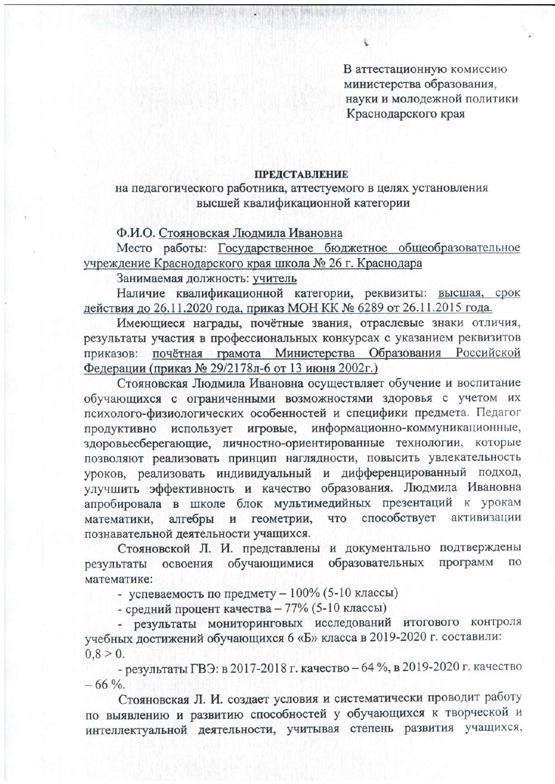В аттестационную комиссию министерства образования, науки и молодежной политики Краснодарского края

#### **ПРЕДСТАВЛЕНИЕ**

#### на педагогического работника, аттестуемого в целях установления высшей квалификационной категории

### Ф.И.О. Стояновская Людмила Ивановна

Место работы: Государственное бюджетное общеобразовательное учреждение Краснодарского края школа № 26 г. Краснодара

## Занимаемая должность: учитель

Наличие квалификационной категории, реквизиты: высшая, срок действия до 26.11.2020 года, приказ МОН КК № 6289 от 26.11.2015 года.

Имеющиеся награды, почётные звания, отраслевые знаки отличия, результаты участия в профессиональных конкурсах с указанием реквизитов приказов: почётная грамота Министерства Образования Российской Федерации (приказ № 29/2178л-6 от 13 июня 2002г.)

Стояновская Людмила Ивановна осуществляет обучение и воспитание обучающихся с ограниченными возможностями здоровья с учетом их психолого-физиологических особенностей и специфики предмета. Педагог информационно-коммуникационные, использует игровые, продуктивно здоровьесберегающие, личностно-ориентированные технологии, которые позволяют реализовать принцип наглядности, повысить увлекательность уроков, реализовать индивидуальный и дифференцированный подход, улучшить эффективность и качество образования. Людмила Ивановна апробировала в школе блок мультимедийных презентаций к урокам способствует геометрии, **TTO** активизации математики. алгебры  $\mathbf{M}$ познавательной деятельности учащихся.

Стояновской Л. И. представлены и документально подтверждены образовательных программ обучающимися ПО освоения результаты математике:

- успеваемость по предмету - 100% (5-10 классы)

- средний процент качества - 77% (5-10 классы)

- результаты мониторинговых исследований итогового контроля учебных достижений обучающихся 6 «Б» класса в 2019-2020 г. составили:  $0.8 > 0.$ 

- результаты ГВЭ: в 2017-2018 г. качество - 64 %, в 2019-2020 г. качество  $-66\%$ .

Стояновская Л. И. создает условия и систематически проводит работу по выявлению и развитию способностей у обучающихся к творческой и интеллектуальной деятельности, учитывая степень развития учащихся,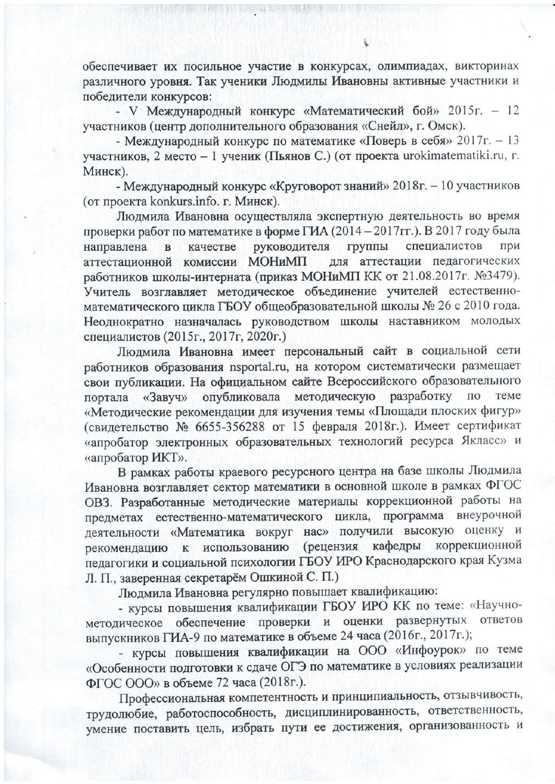обеспечивает их посильное участие в конкурсах, олимпиадах, викторинах различного уровня. Так ученики Людмилы Ивановны активные участники и победители конкурсов:

- V Международный конкурс «Математический бой» 2015г. - 12 участников (центр дополнительного образования «Снейл», г. Омск).

- Международный конкурс по математике «Поверь в себя» 2017г. - 13 участников, 2 место - 1 ученик (Пьянов С.) (от проекта urokimatematiki.ru, г. Минск).

- Международный конкурс «Круговорот знаний» 2018г. - 10 участников (от проекта konkurs.info. г. Минск).

Людмила Ивановна осуществляла экспертную деятельность во время проверки работ по математике в форме ГИА (2014 - 2017 гг.). В 2017 году была специалистов руководителя группы при направлена  $\overline{B}$ качестве для аттестации педагогических аттестационной комиссии МОНиМП работников школы-интерната (приказ МОНиМП КК от 21.08.2017г. №3479). Учитель возглавляет методическое объединение учителей естественноматематического цикла ГБОУ общеобразовательной школы № 26 с 2010 года. Неоднократно назначалась руководством школы наставником молодых специалистов (2015г., 2017г, 2020г.)

Людмила Ивановна имеет персональный сайт в социальной сети работников образования nsportal.ru, на котором систематически размещает свои публикации. На официальном сайте Всероссийского образовательного портала «Завуч» опубликовала методическую разработку по теме «Методические рекомендации для изучения темы «Площади плоских фигур» (свидетельство № 6655-356288 от 15 февраля 2018г.). Имеет сертификат «апробатор электронных образовательных технологий ресурса Якласс» и «апробатор ИКТ».

В рамках работы краевого ресурсного центра на базе школы Людмила Ивановна возглавляет сектор математики в основной школе в рамках ФГОС ОВЗ. Разработанные методические материалы коррекционной работы на предметах естественно-математического цикла, программа внеурочной деятельности «Математика вокруг нас» получили высокую оценку и коррекционной использованию (рецензия кафедры рекомендацию  $\bf K$ педагогики и социальной психологии ГБОУ ИРО Краснодарского края Кузма Л. П., заверенная секретарём Ошкиной С. П.)

Людмила Ивановна регулярно повышает квалификацию:

- курсы повышения квалификации ГБОУ ИРО КК по теме: «Научнометодическое обеспечение проверки и оценки развернутых ответов выпускников ГИА-9 по математике в объеме 24 часа (2016г., 2017г.);

- курсы повышения квалификации на ООО «Инфоурок» по теме «Особенности подготовки к сдаче ОГЭ по математике в условиях реализации ФГОС ООО» в объеме 72 часа (2018г.).

Профессиональная компетентность и принципиальность, отзывчивость, трудолюбие, работоспособность, дисциплинированность, ответственность, умение поставить цель, избрать пути ее достижения, организованность и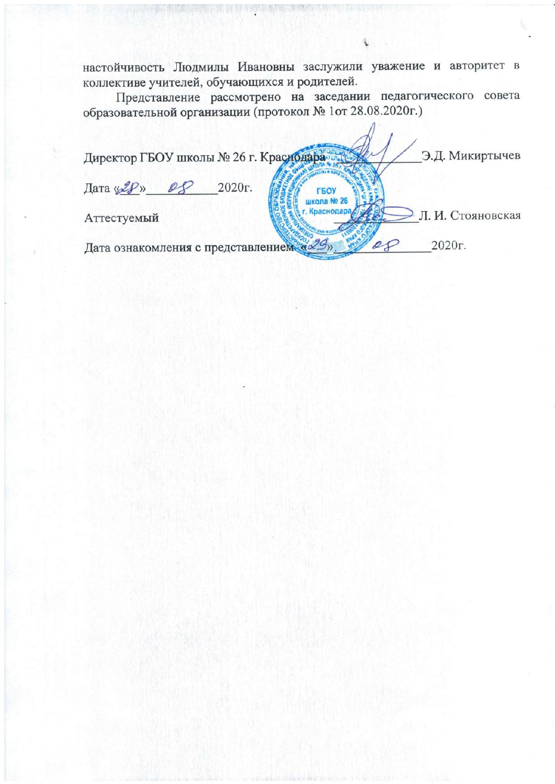настойчивость Людмилы Ивановны заслужили уважение и авторитет в коллективе учителей, обучающихся и родителей.

Представление рассмотрено на заседании педагогического совета образовательной организации (протокол № 1от 28.08.2020г.)

Э.Д. Микиртычев Директор ГБОУ школы № 26 г. Краснодара Дата «28» 2020<sub>r</sub>.  $\mathcal{Q} \mathcal{D}$ ГБОУ школа № 26 Краснодар Л. И. Стояновская Аттестуемый 2020г. Дата ознакомления с представлением «29»